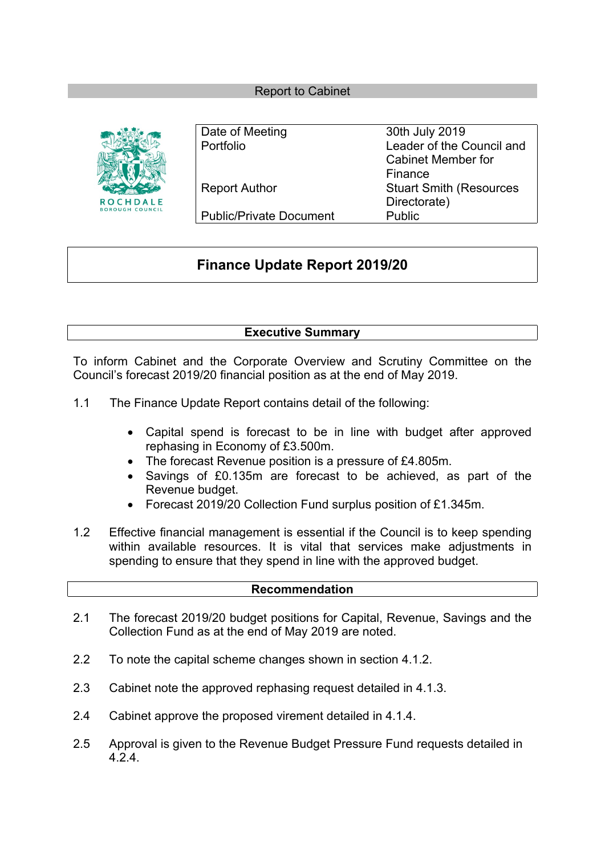#### Report to Cabinet



| Date of Meeting                | 30th July 2019                 |
|--------------------------------|--------------------------------|
| Portfolio                      | Leader of the Council and      |
|                                | Cabinet Member for             |
|                                | Finance                        |
| <b>Report Author</b>           | <b>Stuart Smith (Resources</b> |
|                                | Directorate)                   |
| <b>Public/Private Document</b> | Public                         |

# **Finance Update Report 2019/20**

## **Executive Summary**

To inform Cabinet and the Corporate Overview and Scrutiny Committee on the Council's forecast 2019/20 financial position as at the end of May 2019.

- 1.1 The Finance Update Report contains detail of the following:
	- Capital spend is forecast to be in line with budget after approved rephasing in Economy of £3.500m.
	- The forecast Revenue position is a pressure of £4.805m.
	- Savings of £0.135m are forecast to be achieved, as part of the Revenue budget.
	- Forecast 2019/20 Collection Fund surplus position of £1.345m.
- 1.2 Effective financial management is essential if the Council is to keep spending within available resources. It is vital that services make adjustments in spending to ensure that they spend in line with the approved budget.

#### **Recommendation**

- 2.1 The forecast 2019/20 budget positions for Capital, Revenue, Savings and the Collection Fund as at the end of May 2019 are noted.
- 2.2 To note the capital scheme changes shown in section 4.1.2.
- 2.3 Cabinet note the approved rephasing request detailed in 4.1.3.
- 2.4 Cabinet approve the proposed virement detailed in 4.1.4.
- 2.5 Approval is given to the Revenue Budget Pressure Fund requests detailed in 4.2.4.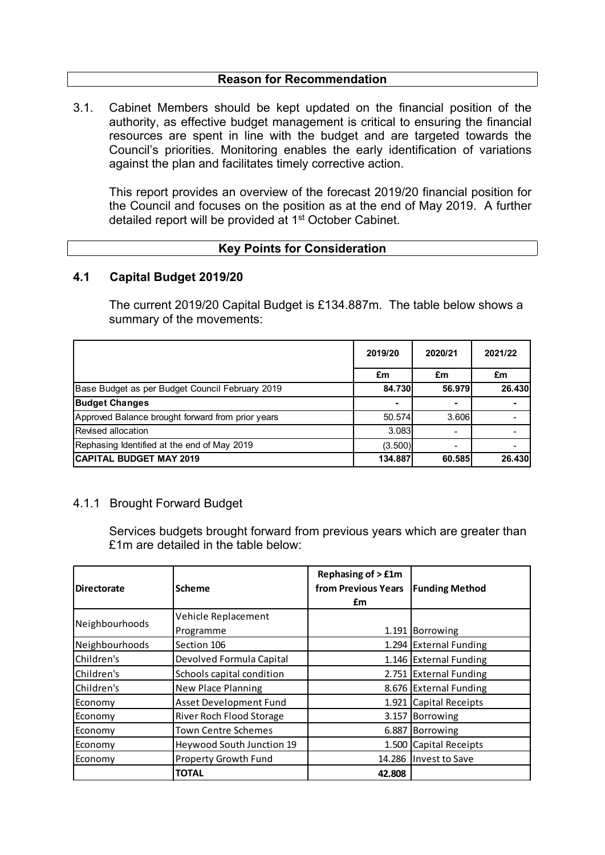#### **Reason for Recommendation**

3.1. Cabinet Members should be kept updated on the financial position of the authority, as effective budget management is critical to ensuring the financial resources are spent in line with the budget and are targeted towards the Council's priorities. Monitoring enables the early identification of variations against the plan and facilitates timely corrective action.

This report provides an overview of the forecast 2019/20 financial position for the Council and focuses on the position as at the end of May 2019. A further detailed report will be provided at 1<sup>st</sup> October Cabinet.

#### **Key Points for Consideration**

#### **4.1 Capital Budget 2019/20**

The current 2019/20 Capital Budget is £134.887m. The table below shows a summary of the movements:

|                                                   | 2019/20 | 2020/21 | 2021/22 |
|---------------------------------------------------|---------|---------|---------|
|                                                   | £m      | £m      | £m      |
| Base Budget as per Budget Council February 2019   | 84.730  | 56.979  | 26.430  |
| <b>Budget Changes</b>                             |         |         |         |
| Approved Balance brought forward from prior years | 50.574  | 3.606   |         |
| Revised allocation                                | 3.083   |         |         |
| Rephasing Identified at the end of May 2019       | (3.500) |         |         |
| <b>CAPITAL BUDGET MAY 2019</b>                    | 134.887 | 60.585  | 26.430  |

### 4.1.1 Brought Forward Budget

Services budgets brought forward from previous years which are greater than £1m are detailed in the table below:

| <b>Directorate</b> | <b>Scheme</b>             | <b>Rephasing of &gt; £1m</b><br>from Previous Years<br>£m | <b>Funding Method</b>  |
|--------------------|---------------------------|-----------------------------------------------------------|------------------------|
|                    | Vehicle Replacement       |                                                           |                        |
| Neighbourhoods     | Programme                 |                                                           | 1.191 Borrowing        |
| Neighbourhoods     | Section 106               |                                                           | 1.294 External Funding |
| Children's         | Devolved Formula Capital  |                                                           | 1.146 External Funding |
| Children's         | Schools capital condition |                                                           | 2.751 External Funding |
| Children's         | New Place Planning        |                                                           | 8.676 External Funding |
| Economy            | Asset Development Fund    |                                                           | 1.921 Capital Receipts |
| Economy            | River Roch Flood Storage  |                                                           | 3.157 Borrowing        |
| Economy            | Town Centre Schemes       |                                                           | 6.887 Borrowing        |
| Economy            | Heywood South Junction 19 |                                                           | 1.500 Capital Receipts |
| Economy            | Property Growth Fund      |                                                           | 14.286 Invest to Save  |
|                    | <b>TOTAL</b>              | 42.808                                                    |                        |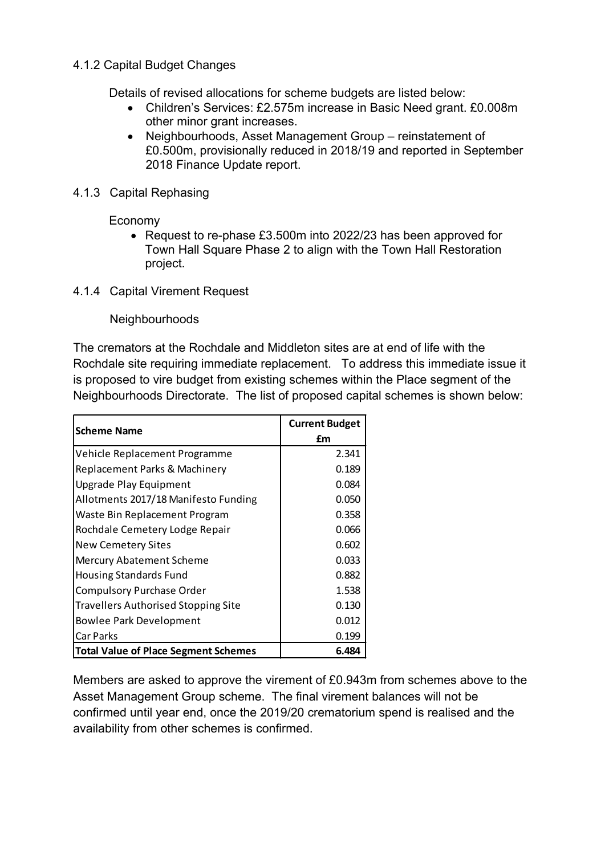## 4.1.2 Capital Budget Changes

Details of revised allocations for scheme budgets are listed below:

- Children's Services: £2.575m increase in Basic Need grant. £0.008m other minor grant increases.
- Neighbourhoods, Asset Management Group reinstatement of £0.500m, provisionally reduced in 2018/19 and reported in September 2018 Finance Update report.
- 4.1.3 Capital Rephasing

Economy

- Request to re-phase £3.500m into 2022/23 has been approved for Town Hall Square Phase 2 to align with the Town Hall Restoration project.
- 4.1.4 Capital Virement Request

Neighbourhoods

The cremators at the Rochdale and Middleton sites are at end of life with the Rochdale site requiring immediate replacement. To address this immediate issue it is proposed to vire budget from existing schemes within the Place segment of the Neighbourhoods Directorate. The list of proposed capital schemes is shown below:

| <b>Scheme Name</b>                          | <b>Current Budget</b> |
|---------------------------------------------|-----------------------|
|                                             | £m                    |
| Vehicle Replacement Programme               | 2.341                 |
| Replacement Parks & Machinery               | 0.189                 |
| Upgrade Play Equipment                      | 0.084                 |
| Allotments 2017/18 Manifesto Funding        | 0.050                 |
| Waste Bin Replacement Program               | 0.358                 |
| Rochdale Cemetery Lodge Repair              | 0.066                 |
| <b>New Cemetery Sites</b>                   | 0.602                 |
| Mercury Abatement Scheme                    | 0.033                 |
| <b>Housing Standards Fund</b>               | 0.882                 |
| <b>Compulsory Purchase Order</b>            | 1.538                 |
| <b>Travellers Authorised Stopping Site</b>  | 0.130                 |
| <b>Bowlee Park Development</b>              | 0.012                 |
| <b>Car Parks</b>                            | 0.199                 |
| <b>Total Value of Place Segment Schemes</b> | 6.484                 |

Members are asked to approve the virement of £0.943m from schemes above to the Asset Management Group scheme. The final virement balances will not be confirmed until year end, once the 2019/20 crematorium spend is realised and the availability from other schemes is confirmed.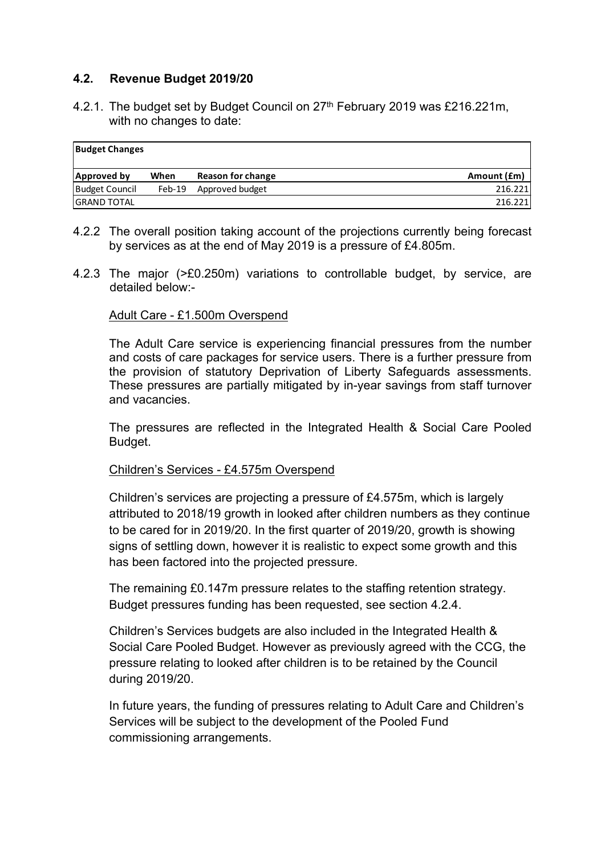## **4.2. Revenue Budget 2019/20**

4.2.1. The budget set by Budget Council on 27<sup>th</sup> February 2019 was £216.221m, with no changes to date:

| <b>Budget Changes</b> |        |                   |             |
|-----------------------|--------|-------------------|-------------|
| Approved by           | When   | Reason for change | Amount (£m) |
| <b>Budget Council</b> | Feb-19 | Approved budget   | 216.221     |
| <b>GRAND TOTAL</b>    |        |                   | 216.221     |

- 4.2.2 The overall position taking account of the projections currently being forecast by services as at the end of May 2019 is a pressure of £4.805m.
- 4.2.3 The major (>£0.250m) variations to controllable budget, by service, are detailed below:-

### Adult Care - £1.500m Overspend

The Adult Care service is experiencing financial pressures from the number and costs of care packages for service users. There is a further pressure from the provision of statutory Deprivation of Liberty Safeguards assessments. These pressures are partially mitigated by in-year savings from staff turnover and vacancies.

The pressures are reflected in the Integrated Health & Social Care Pooled Budget.

### Children's Services - £4.575m Overspend

Children's services are projecting a pressure of £4.575m, which is largely attributed to 2018/19 growth in looked after children numbers as they continue to be cared for in 2019/20. In the first quarter of 2019/20, growth is showing signs of settling down, however it is realistic to expect some growth and this has been factored into the projected pressure.

The remaining £0.147m pressure relates to the staffing retention strategy. Budget pressures funding has been requested, see section 4.2.4.

Children's Services budgets are also included in the Integrated Health & Social Care Pooled Budget. However as previously agreed with the CCG, the pressure relating to looked after children is to be retained by the Council during 2019/20.

In future years, the funding of pressures relating to Adult Care and Children's Services will be subject to the development of the Pooled Fund commissioning arrangements.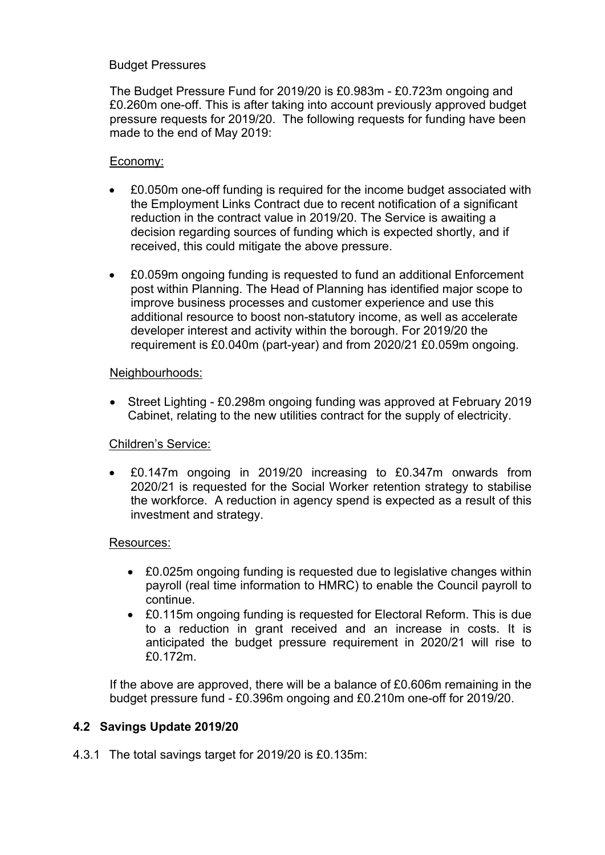## Budget Pressures

The Budget Pressure Fund for 2019/20 is £0.983m - £0.723m ongoing and £0.260m one-off. This is after taking into account previously approved budget pressure requests for 2019/20. The following requests for funding have been made to the end of May 2019:

### Economy:

- £0.050m one-off funding is required for the income budget associated with the Employment Links Contract due to recent notification of a significant reduction in the contract value in 2019/20. The Service is awaiting a decision regarding sources of funding which is expected shortly, and if received, this could mitigate the above pressure.
- £0.059m ongoing funding is requested to fund an additional Enforcement post within Planning. The Head of Planning has identified major scope to improve business processes and customer experience and use this additional resource to boost non-statutory income, as well as accelerate developer interest and activity within the borough. For 2019/20 the requirement is £0.040m (part-year) and from 2020/21 £0.059m ongoing.

### Neighbourhoods:

 Street Lighting - £0.298m ongoing funding was approved at February 2019 Cabinet, relating to the new utilities contract for the supply of electricity.

### Children's Service:

 £0.147m ongoing in 2019/20 increasing to £0.347m onwards from 2020/21 is requested for the Social Worker retention strategy to stabilise the workforce. A reduction in agency spend is expected as a result of this investment and strategy.

### Resources:

- £0.025m ongoing funding is requested due to legislative changes within payroll (real time information to HMRC) to enable the Council payroll to continue.
- £0.115m ongoing funding is requested for Electoral Reform. This is due to a reduction in grant received and an increase in costs. It is anticipated the budget pressure requirement in 2020/21 will rise to £0.172m.

If the above are approved, there will be a balance of £0.606m remaining in the budget pressure fund - £0.396m ongoing and £0.210m one-off for 2019/20.

### **4.2 Savings Update 2019/20**

4.3.1 The total savings target for 2019/20 is £0.135m: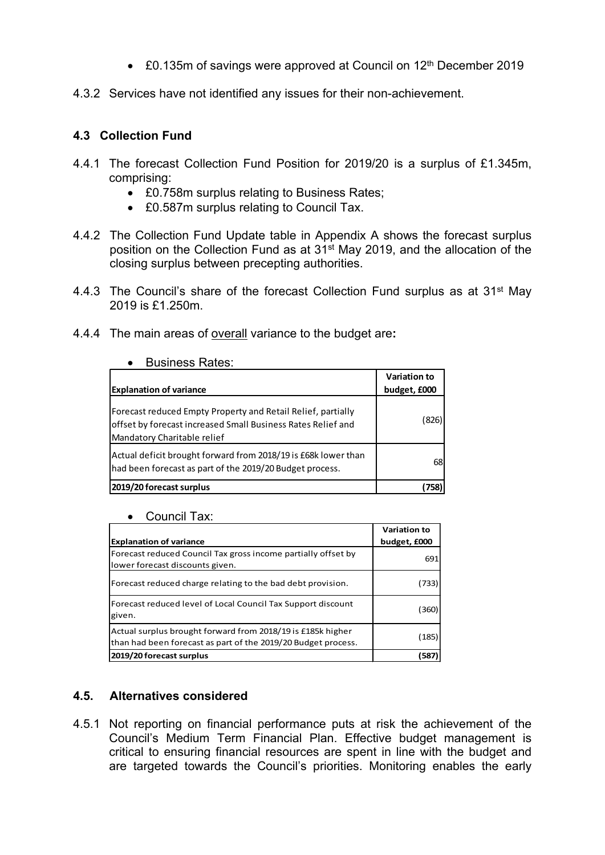- £0.135m of savings were approved at Council on 12<sup>th</sup> December 2019
- 4.3.2 Services have not identified any issues for their non-achievement.

# **4.3 Collection Fund**

- 4.4.1 The forecast Collection Fund Position for 2019/20 is a surplus of £1.345m, comprising:
	- £0.758m surplus relating to Business Rates;
	- £0.587m surplus relating to Council Tax.
- 4.4.2 The Collection Fund Update table in Appendix A shows the forecast surplus position on the Collection Fund as at 31st May 2019, and the allocation of the closing surplus between precepting authorities.
- 4.4.3 The Council's share of the forecast Collection Fund surplus as at 31st May 2019 is £1.250m.
- 4.4.4 The main areas of overall variance to the budget are**:**

| <b>Explanation of variance</b>                                                                                                                              | <b>Variation to</b><br>budget, £000 |
|-------------------------------------------------------------------------------------------------------------------------------------------------------------|-------------------------------------|
| Forecast reduced Empty Property and Retail Relief, partially<br>offset by forecast increased Small Business Rates Relief and<br>Mandatory Charitable relief | (826)                               |
| Actual deficit brought forward from 2018/19 is £68k lower than<br>had been forecast as part of the 2019/20 Budget process.                                  | 68                                  |
| 2019/20 forecast surplus                                                                                                                                    |                                     |

### **A** Business Rates:

| Council Tax: |
|--------------|
|              |

| <b>Explanation of variance</b>                                                                                               | Variation to<br>budget, £000 |
|------------------------------------------------------------------------------------------------------------------------------|------------------------------|
| Forecast reduced Council Tax gross income partially offset by<br>lower forecast discounts given.                             | 691                          |
| Forecast reduced charge relating to the bad debt provision.                                                                  | (733)                        |
| Forecast reduced level of Local Council Tax Support discount<br>given.                                                       | (360)                        |
| Actual surplus brought forward from 2018/19 is £185k higher<br>than had been forecast as part of the 2019/20 Budget process. | (185)                        |
| 2019/20 forecast surplus                                                                                                     | 587                          |

## **4.5. Alternatives considered**

4.5.1 Not reporting on financial performance puts at risk the achievement of the Council's Medium Term Financial Plan. Effective budget management is critical to ensuring financial resources are spent in line with the budget and are targeted towards the Council's priorities. Monitoring enables the early